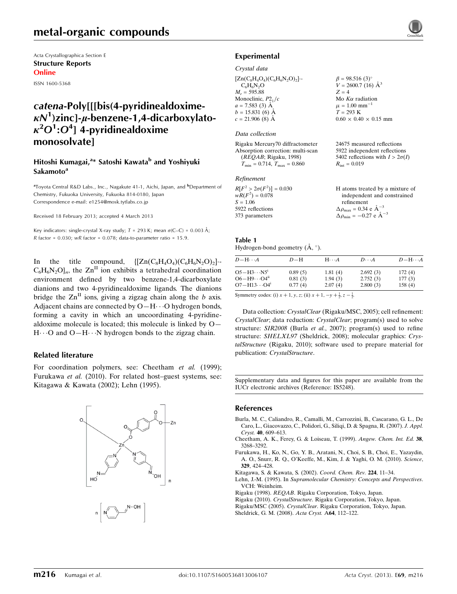# metal-organic compounds

Acta Crystallographica Section E Structure Reports Online

ISSN 1600-5368

# catena-Poly[[[bis(4-pyridinealdoxime- $\kappa N^1$ )zinc]- $\mu$ -benzene-1,4-dicarboxylato- $\kappa^2 O^1$ : $O^4$ ] 4-pyridinealdoxime monosolvate]

### Hitoshi Kumagai,<sup>a</sup>\* Satoshi Kawata<sup>b</sup> and Yoshiyuki Sakamoto<sup>a</sup>

<sup>a</sup>Toyota Central R&D Labs., Inc., Nagakute 41-1, Aichi, Japan, and <sup>b</sup>Department of Chemistry, Fukuoka University, Fukuoka 814-0180, Japan Correspondence e-mail: [e1254@mosk.tytlabs.co.jp](https://scripts.iucr.org/cgi-bin/cr.cgi?rm=pdfbb&cnor=is5248&bbid=BB9)

Received 18 February 2013; accepted 4 March 2013

Key indicators: single-crystal X-ray study;  $T = 293$  K; mean  $\sigma$ (C–C) = 0.003 Å; R factor =  $0.030$ ; wR factor =  $0.078$ ; data-to-parameter ratio = 15.9.

In the title compound,  $\left\{ \left[ Zn(C_8H_4O_4)(C_6H_6N_2O)_2 \right] \right\}$ .  $C_6H_6N_2O_n$ , the  $Zn<sup>II</sup>$  ion exhibits a tetrahedral coordination environment defined by two benzene-1,4-dicarboxylate dianions and two 4-pyridinealdoxime ligands. The dianions bridge the  $\text{Zn}^{\text{II}}$  ions, giving a zigzag chain along the b axis. Adjacent chains are connected by  $O-H\cdots O$  hydrogen bonds, forming a cavity in which an uncoordinating 4-pyridinealdoxime molecule is located; this molecule is linked by  $O-$ H $\cdots$ O and O-H $\cdots$ N hydrogen bonds to the zigzag chain.

#### Related literature

For coordination polymers, see: Cheetham et al. (1999); Furukawa et al. (2010). For related host–guest systems, see: Kitagawa & Kawata (2002); Lehn (1995).



### Experimental

#### Crystal data

 $[Zn(C_8H_4O_4)(C_6H_6N_2O)_2]$  $C_6H_6N_2O$  $M_r = 595.88$ Monoclinic,  $P2<sub>1</sub>/c$  $a = 7.583$  (3) Å  $b = 15.831(6)$  Å  $c = 21.906$  (8) Å  $\beta = 98.516 (3)$ °  $V = 2600.7(16)$   $\AA^3$  $Z = 4$ Mo  $K\alpha$  radiation  $\mu = 1.00$  mm<sup>-1</sup>  $T = 293$  K  $0.60 \times 0.40 \times 0.15$  mm

#### Data collection

Rigaku Mercury70 diffractometer Absorption correction: multi-scan (REQAB; Rigaku, 1998)  $T_{\text{min}} = 0.714, T_{\text{max}} = 0.860$ 

#### Refinement

| $R[F^2 > 2\sigma(F^2)] = 0.030$ | H atoms treated by a mixture of                    |
|---------------------------------|----------------------------------------------------|
| $wR(F^2) = 0.078$               | independent and constrained                        |
| $S = 1.06$                      | refinement                                         |
| 5922 reflections                | $\Delta \rho_{\text{max}} = 0.34 \text{ e A}^{-3}$ |
| 373 parameters                  | $\Delta \rho_{\text{min}} = -0.27$ e $\AA^{-3}$    |

24675 measured reflections 5922 independent reflections 5402 reflections with  $I > 2\sigma(I)$ 

 $R_{\text{int}} = 0.019$ 

#### Table 1 Hydrogen-bond geometry  $(\mathring{A}, \degree)$ .

| $D$ -H $\cdots$ A        | $D-H$   | $H\cdots A$ | $D\cdots A$ | $D - H \cdots A$ |
|--------------------------|---------|-------------|-------------|------------------|
| $O5-H3\cdots N5^i$       | 0.89(5) | 1.81(4)     | 2.692(3)    | 172(4)           |
| $O6 - H9 \cdots O4^{ii}$ | 0.81(3) | 1.94(3)     | 2.752(3)    | 177(3)           |
| $O7 - H13 \cdots O4^i$   | 0.77(4) | 2.07(4)     | 2.800(3)    | 158(4)           |

Symmetry codes: (i)  $x + 1$ ,  $y$ ,  $z$ ; (ii)  $x + 1$ ,  $-y + \frac{1}{2}$ ,  $z - \frac{1}{2}$ .

Data collection: CrystalClear (Rigaku/MSC, 2005); cell refinement: CrystalClear; data reduction: CrystalClear; program(s) used to solve structure: SIR2008 (Burla et al., 2007); program(s) used to refine structure: SHELXL97 (Sheldrick, 2008); molecular graphics: CrystalStructure (Rigaku, 2010); software used to prepare material for publication: CrystalStructure.

Supplementary data and figures for this paper are available from the IUCr electronic archives (Reference: IS5248).

#### References

- [Burla, M. C., Caliandro, R., Camalli, M., Carrozzini, B., Cascarano, G. L., De](https://scripts.iucr.org/cgi-bin/cr.cgi?rm=pdfbb&cnor=is5248&bbid=BB1) [Caro, L., Giacovazzo, C., Polidori, G., Siliqi, D. & Spagna, R. \(2007\).](https://scripts.iucr.org/cgi-bin/cr.cgi?rm=pdfbb&cnor=is5248&bbid=BB1) J. Appl. Cryst. 40[, 609–613.](https://scripts.iucr.org/cgi-bin/cr.cgi?rm=pdfbb&cnor=is5248&bbid=BB1)
- [Cheetham, A. K., Ferey, G. & Loiseau, T. \(1999\).](https://scripts.iucr.org/cgi-bin/cr.cgi?rm=pdfbb&cnor=is5248&bbid=BB2) Angew. Chem. Int. Ed. 38, [3268–3292.](https://scripts.iucr.org/cgi-bin/cr.cgi?rm=pdfbb&cnor=is5248&bbid=BB2)
- [Furukawa, H., Ko, N., Go, Y. B., Aratani, N., Choi, S. B., Choi, E., Yazaydin,](https://scripts.iucr.org/cgi-bin/cr.cgi?rm=pdfbb&cnor=is5248&bbid=BB3) [A. O., Snurr, R. Q., O'Keeffe, M., Kim, J. & Yaghi, O. M. \(2010\).](https://scripts.iucr.org/cgi-bin/cr.cgi?rm=pdfbb&cnor=is5248&bbid=BB3) Science, 329[, 424–428.](https://scripts.iucr.org/cgi-bin/cr.cgi?rm=pdfbb&cnor=is5248&bbid=BB3)
- [Kitagawa, S. & Kawata, S. \(2002\).](https://scripts.iucr.org/cgi-bin/cr.cgi?rm=pdfbb&cnor=is5248&bbid=BB4) Coord. Chem. Rev. 224, 11–34.
- Lehn, J.-M. (1995). In [Supramolecular Chemistry: Concepts and Perspectives](https://scripts.iucr.org/cgi-bin/cr.cgi?rm=pdfbb&cnor=is5248&bbid=BB5). [VCH: Weinheim.](https://scripts.iucr.org/cgi-bin/cr.cgi?rm=pdfbb&cnor=is5248&bbid=BB5)
- Rigaku (1998). REQAB[. Rigaku Corporation, Tokyo, Japan.](https://scripts.iucr.org/cgi-bin/cr.cgi?rm=pdfbb&cnor=is5248&bbid=BB6)
- Rigaku (2010). CrystalStructure[. Rigaku Corporation, Tokyo, Japan.](https://scripts.iucr.org/cgi-bin/cr.cgi?rm=pdfbb&cnor=is5248&bbid=BB7) Rigaku/MSC (2005). CrystalClear[. Rigaku Corporation, Tokyo, Japan.](https://scripts.iucr.org/cgi-bin/cr.cgi?rm=pdfbb&cnor=is5248&bbid=BB8)
- [Sheldrick, G. M. \(2008\).](https://scripts.iucr.org/cgi-bin/cr.cgi?rm=pdfbb&cnor=is5248&bbid=BB9) Acta Cryst. A64, 112–122.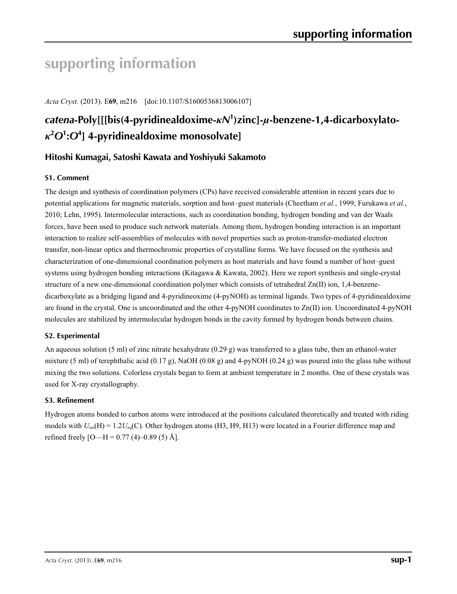# **supporting information**

*Acta Cryst.* (2013). E**69**, m216 [doi:10.1107/S1600536813006107]

# *catena***-Poly[[[bis(4-pyridinealdoxime-***κN***<sup>1</sup> )zinc]-***µ***-benzene-1,4-dicarboxylato***κ***2** *O***<sup>1</sup> :***O***<sup>4</sup> ] 4-pyridinealdoxime monosolvate]**

# **Hitoshi Kumagai, Satoshi Kawata and Yoshiyuki Sakamoto**

## **S1. Comment**

The design and synthesis of coordination polymers (CPs) have received considerable attention in recent years due to potential applications for magnetic materials, sorption and host–guest materials (Cheetham *et al.*, 1999; Furukawa *et al.*, 2010; Lehn, 1995). Intermolecular interactions, such as coordination bonding, hydrogen bonding and van der Waals forces, have been used to produce such network materials. Among them, hydrogen bonding interaction is an important interaction to realize self-assemblies of molecules with novel properties such as proton-transfer-mediated electron transfer, non-linear optics and thermochromic properties of crystalline forms. We have focused on the synthesis and characterization of one-dimensional coordination polymers as host materials and have found a number of host–guest systems using hydrogen bonding interactions (Kitagawa & Kawata, 2002). Here we report synthesis and single-crystal structure of a new one-dimensional coordination polymer which consists of tetrahedral Zn(II) ion, 1,4-benzenedicarboxylate as a bridging ligand and 4-pyridineoxime (4-pyNOH) as terminal ligands. Two types of 4-pyridinealdoxime are found in the crystal. One is uncoordinated and the other 4-pyNOH coordinates to  $Zn(II)$  ion. Uncoordinated 4-pyNOH molecules are stabilized by intermolecular hydrogen bonds in the cavity formed by hydrogen bonds between chains.

## **S2. Experimental**

An aqueous solution (5 ml) of zinc nitrate hexahydrate (0.29 g) was transferred to a glass tube, then an ethanol-water mixture (5 ml) of terephthalic acid (0.17 g), NaOH (0.08 g) and 4-pyNOH (0.24 g) was poured into the glass tube without mixing the two solutions. Colorless crystals began to form at ambient temperature in 2 months. One of these crystals was used for X-ray crystallography.

## **S3. Refinement**

Hydrogen atoms bonded to carbon atoms were introduced at the positions calculated theoretically and treated with riding models with  $U_{iso}(H) = 1.2U_{eq}(C)$ . Other hydrogen atoms (H3, H9, H13) were located in a Fourier difference map and refined freely  $[O-H = 0.77 (4) - 0.89 (5)$  Å].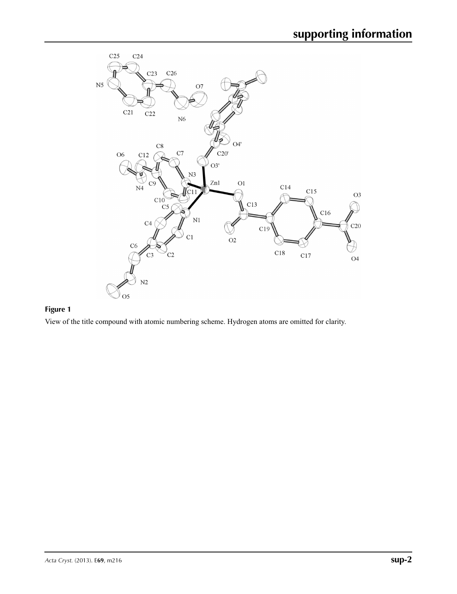

# **Figure 1**

View of the title compound with atomic numbering scheme. Hydrogen atoms are omitted for clarity.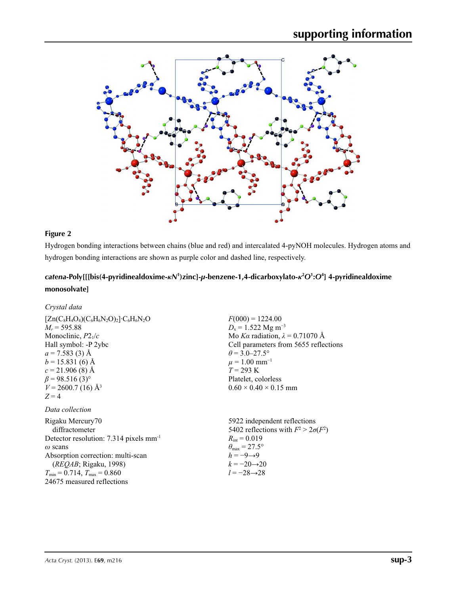

## **Figure 2**

Hydrogen bonding interactions between chains (blue and red) and intercalated 4-pyNOH molecules. Hydrogen atoms and hydrogen bonding interactions are shown as purple color and dashed line, respectively.

# *catena***-Poly[[[bis(4-pyridinealdoxime-***κN***<sup>1</sup> )zinc]-***µ***-benzene-1,4-dicarboxylato-***κ***<sup>2</sup>** *O***<sup>1</sup> :***O***<sup>4</sup> ] 4-pyridinealdoxime monosolvate]**

## *Crystal data*

| $[Zn(C_8H_4O_4)(C_6H_6N_2O)_2]$ <sup>-</sup> C <sub>6</sub> H <sub>6</sub> N <sub>2</sub> O<br>$M_r = 595.88$<br>Monoclinic, $P2_1/c$<br>Hall symbol: -P 2ybc<br>$a = 7.583(3)$ Å<br>$b = 15.831(6)$ Å<br>$c = 21.906(8)$ Å<br>$\beta$ = 98.516 (3) <sup>o</sup><br>$V = 2600.7(16)$ Å <sup>3</sup><br>$Z=4$ | $F(000) = 1224.00$<br>$D_x = 1.522$ Mg m <sup>-3</sup><br>Mo Ka radiation, $\lambda = 0.71070$ Å<br>Cell parameters from 5655 reflec<br>$\theta$ = 3.0–27.5°<br>$\mu = 1.00$ mm <sup>-1</sup><br>$T = 293 \text{ K}$<br>Platelet, colorless<br>$0.60 \times 0.40 \times 0.15$ mm |
|--------------------------------------------------------------------------------------------------------------------------------------------------------------------------------------------------------------------------------------------------------------------------------------------------------------|----------------------------------------------------------------------------------------------------------------------------------------------------------------------------------------------------------------------------------------------------------------------------------|
| Data collection                                                                                                                                                                                                                                                                                              |                                                                                                                                                                                                                                                                                  |
| Rigaku Mercury70<br>diffractometer<br>Detector resolution: $7.314$ pixels mm <sup>-1</sup><br>$\omega$ scans<br>Absorption correction: multi-scan<br>( <i>REQAB</i> ; Rigaku, 1998)                                                                                                                          | 5922 independent reflections<br>5402 reflections with $F^2 > 2\sigma(F^2)$<br>$R_{\text{int}} = 0.019$<br>$\theta_{\rm max} = 27.5^{\circ}$<br>$h = -9 \rightarrow 9$<br>$k = -20 \rightarrow 20$                                                                                |

 $T_{\text{min}} = 0.714, T_{\text{max}} = 0.860$ 24675 measured reflections tions

*l* = −28→28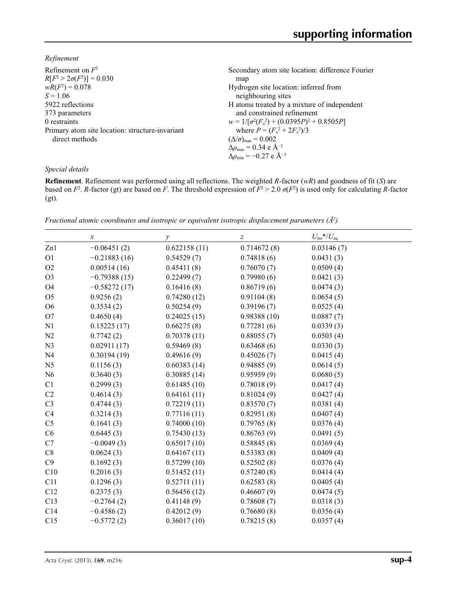*Refinement*

| Refinement on $F^2$                             | Secondary atom site location: difference Fourier  |
|-------------------------------------------------|---------------------------------------------------|
| $R[F^2 > 2\sigma(F^2)] = 0.030$                 | map                                               |
| $wR(F^2) = 0.078$                               | Hydrogen site location: inferred from             |
| $S = 1.06$                                      | neighbouring sites                                |
| 5922 reflections                                | H atoms treated by a mixture of independent       |
| 373 parameters                                  | and constrained refinement                        |
| 0 restraints                                    | $w = 1/[\sigma^2(F_0^2) + (0.0395P)^2 + 0.8505P]$ |
| Primary atom site location: structure-invariant | where $P = (F_0^2 + 2F_c^2)/3$                    |
| direct methods                                  | $(\Delta/\sigma)_{\text{max}} = 0.002$            |
|                                                 | $\Delta\rho_{\text{max}} = 0.34 \text{ e A}^{-3}$ |
|                                                 | $\Delta\rho_{\rm min} = -0.27$ e Å <sup>-3</sup>  |

## *Special details*

**Refinement**. Refinement was performed using all reflections. The weighted *R*-factor (*wR*) and goodness of fit (*S*) are based on  $F^2$ . *R*-factor (gt) are based on *F*. The threshold expression of  $F^2 > 2.0 \sigma(F^2)$  is used only for calculating *R*-factor (gt).

*Fractional atomic coordinates and isotropic or equivalent isotropic displacement parameters (Å<sup>2</sup>)* 

|                | $\boldsymbol{x}$ | $\mathcal{Y}$ | $\boldsymbol{Z}$ | $U_{\text{iso}}$ */ $U_{\text{eq}}$ |  |
|----------------|------------------|---------------|------------------|-------------------------------------|--|
| Zn1            | $-0.06451(2)$    | 0.622158(11)  | 0.714672(8)      | 0.03146(7)                          |  |
| O <sub>1</sub> | $-0.21883(16)$   | 0.54529(7)    | 0.74818(6)       | 0.0431(3)                           |  |
| O2             | 0.00514(16)      | 0.45411(8)    | 0.76070(7)       | 0.0509(4)                           |  |
| O <sub>3</sub> | $-0.79388(15)$   | 0.22499(7)    | 0.79980(6)       | 0.0421(3)                           |  |
| <b>O4</b>      | $-0.58272(17)$   | 0.16416(8)    | 0.86719(6)       | 0.0474(3)                           |  |
| O <sub>5</sub> | 0.9256(2)        | 0.74280(12)   | 0.91104(8)       | 0.0654(5)                           |  |
| O <sub>6</sub> | 0.3534(2)        | 0.50254(9)    | 0.39196(7)       | 0.0525(4)                           |  |
| O <sub>7</sub> | 0.4650(4)        | 0.24025(15)   | 0.98388(10)      | 0.0887(7)                           |  |
| N1             | 0.15225(17)      | 0.66275(8)    | 0.77281(6)       | 0.0339(3)                           |  |
| N2             | 0.7742(2)        | 0.70378(11)   | 0.88055(7)       | 0.0503(4)                           |  |
| N <sub>3</sub> | 0.02911(17)      | 0.59469(8)    | 0.63468(6)       | 0.0330(3)                           |  |
| N <sub>4</sub> | 0.30194(19)      | 0.49616(9)    | 0.45026(7)       | 0.0415(4)                           |  |
| N <sub>5</sub> | 0.1156(3)        | 0.60383(14)   | 0.94885(9)       | 0.0614(5)                           |  |
| N <sub>6</sub> | 0.3640(3)        | 0.30885(14)   | 0.95959(9)       | 0.0680(5)                           |  |
| C1             | 0.2999(3)        | 0.61485(10)   | 0.78018(9)       | 0.0417(4)                           |  |
| C2             | 0.4614(3)        | 0.64161(11)   | 0.81024(9)       | 0.0427(4)                           |  |
| C <sub>3</sub> | 0.4744(3)        | 0.72219(11)   | 0.83570(7)       | 0.0381(4)                           |  |
| C <sub>4</sub> | 0.3214(3)        | 0.77116(11)   | 0.82951(8)       | 0.0407(4)                           |  |
| C <sub>5</sub> | 0.1641(3)        | 0.74000(10)   | 0.79765(8)       | 0.0376(4)                           |  |
| C6             | 0.6445(3)        | 0.75430(13)   | 0.86763(9)       | 0.0491(5)                           |  |
| C7             | $-0.0049(3)$     | 0.65017(10)   | 0.58845(8)       | 0.0369(4)                           |  |
| C8             | 0.0624(3)        | 0.64167(11)   | 0.53383(8)       | 0.0409(4)                           |  |
| C9             | 0.1692(3)        | 0.57299(10)   | 0.52502(8)       | 0.0376(4)                           |  |
| C10            | 0.2016(3)        | 0.51452(11)   | 0.57240(8)       | 0.0414(4)                           |  |
| C11            | 0.1296(3)        | 0.52711(11)   | 0.62583(8)       | 0.0405(4)                           |  |
| C12            | 0.2375(3)        | 0.56456(12)   | 0.46607(9)       | 0.0474(5)                           |  |
| C13            | $-0.2764(2)$     | 0.41148(9)    | 0.78608(7)       | 0.0318(3)                           |  |
| C14            | $-0.4586(2)$     | 0.42012(9)    | 0.76680(8)       | 0.0356(4)                           |  |
| C15            | $-0.5772(2)$     | 0.36017(10)   | 0.78215(8)       | 0.0357(4)                           |  |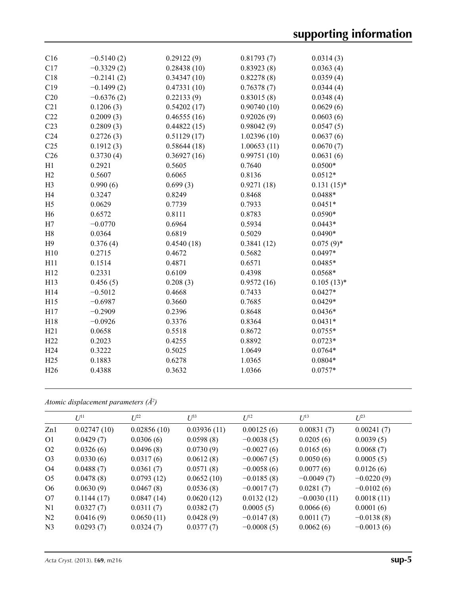| C16             | $-0.5140(2)$ | 0.29122(9)  | 0.81793(7)  | 0.0314(3)     |
|-----------------|--------------|-------------|-------------|---------------|
| C17             | $-0.3329(2)$ | 0.28438(10) | 0.83923(8)  | 0.0363(4)     |
| C18             | $-0.2141(2)$ | 0.34347(10) | 0.82278(8)  | 0.0359(4)     |
| C19             | $-0.1499(2)$ | 0.47331(10) | 0.76378(7)  | 0.0344(4)     |
| C20             | $-0.6376(2)$ | 0.22133(9)  | 0.83015(8)  | 0.0348(4)     |
| C21             | 0.1206(3)    | 0.54202(17) | 0.90740(10) | 0.0629(6)     |
| C22             | 0.2009(3)    | 0.46555(16) | 0.92026(9)  | 0.0603(6)     |
| C23             | 0.2809(3)    | 0.44822(15) | 0.98042(9)  | 0.0547(5)     |
| C <sub>24</sub> | 0.2726(3)    | 0.51129(17) | 1.02396(10) | 0.0637(6)     |
| C <sub>25</sub> | 0.1912(3)    | 0.58644(18) | 1.00653(11) | 0.0670(7)     |
| C <sub>26</sub> | 0.3730(4)    | 0.36927(16) | 0.99751(10) | 0.0631(6)     |
| H1              | 0.2921       | 0.5605      | 0.7640      | $0.0500*$     |
| H2              | 0.5607       | 0.6065      | 0.8136      | $0.0512*$     |
| H <sub>3</sub>  | 0.990(6)     | 0.699(3)    | 0.9271(18)  | $0.131(15)^*$ |
| H <sub>4</sub>  | 0.3247       | 0.8249      | 0.8468      | $0.0488*$     |
| H <sub>5</sub>  | 0.0629       | 0.7739      | 0.7933      | $0.0451*$     |
| H <sub>6</sub>  | 0.6572       | 0.8111      | 0.8783      | $0.0590*$     |
| H7              | $-0.0770$    | 0.6964      | 0.5934      | $0.0443*$     |
| H <sub>8</sub>  | 0.0364       | 0.6819      | 0.5029      | $0.0490*$     |
| H9              | 0.376(4)     | 0.4540(18)  | 0.3841(12)  | $0.075(9)$ *  |
| H10             | 0.2715       | 0.4672      | 0.5682      | $0.0497*$     |
| H11             | 0.1514       | 0.4871      | 0.6571      | $0.0485*$     |
| H12             | 0.2331       | 0.6109      | 0.4398      | $0.0568*$     |
| H13             | 0.456(5)     | 0.208(3)    | 0.9572(16)  | $0.105(13)*$  |
| H14             | $-0.5012$    | 0.4668      | 0.7433      | $0.0427*$     |
| H15             | $-0.6987$    | 0.3660      | 0.7685      | $0.0429*$     |
| H17             | $-0.2909$    | 0.2396      | 0.8648      | $0.0436*$     |
| H18             | $-0.0926$    | 0.3376      | 0.8364      | $0.0431*$     |
| H21             | 0.0658       | 0.5518      | 0.8672      | $0.0755*$     |
| H <sub>22</sub> | 0.2023       | 0.4255      | 0.8892      | $0.0723*$     |
| H <sub>24</sub> | 0.3222       | 0.5025      | 1.0649      | $0.0764*$     |
| H25             | 0.1883       | 0.6278      | 1.0365      | $0.0804*$     |
| H <sub>26</sub> | 0.4388       | 0.3632      | 1.0366      | $0.0757*$     |
|                 |              |             |             |               |

*Atomic displacement parameters (Å2 )*

|                | $U^{11}$    | $I^{22}$    | $\mathcal{L}^{\beta 3}$ | $U^{12}$     | $U^{13}$      | $L^{23}$     |
|----------------|-------------|-------------|-------------------------|--------------|---------------|--------------|
| Zn1            | 0.02747(10) | 0.02856(10) | 0.03936(11)             | 0.00125(6)   | 0.00831(7)    | 0.00241(7)   |
| O <sub>1</sub> | 0.0429(7)   | 0.0306(6)   | 0.0598(8)               | $-0.0038(5)$ | 0.0205(6)     | 0.0039(5)    |
| O <sub>2</sub> | 0.0326(6)   | 0.0496(8)   | 0.0730(9)               | $-0.0027(6)$ | 0.0165(6)     | 0.0068(7)    |
| O <sub>3</sub> | 0.0330(6)   | 0.0317(6)   | 0.0612(8)               | $-0.0067(5)$ | 0.0050(6)     | 0.0005(5)    |
| O4             | 0.0488(7)   | 0.0361(7)   | 0.0571(8)               | $-0.0058(6)$ | 0.0077(6)     | 0.0126(6)    |
| O <sub>5</sub> | 0.0478(8)   | 0.0793(12)  | 0.0652(10)              | $-0.0185(8)$ | $-0.0049(7)$  | $-0.0220(9)$ |
| O <sub>6</sub> | 0.0630(9)   | 0.0467(8)   | 0.0536(8)               | $-0.0017(7)$ | 0.0281(7)     | $-0.0102(6)$ |
| O7             | 0.1144(17)  | 0.0847(14)  | 0.0620(12)              | 0.0132(12)   | $-0.0030(11)$ | 0.0018(11)   |
| N <sub>1</sub> | 0.0327(7)   | 0.0311(7)   | 0.0382(7)               | 0.0005(5)    | 0.0066(6)     | 0.0001(6)    |
| N <sub>2</sub> | 0.0416(9)   | 0.0650(11)  | 0.0428(9)               | $-0.0147(8)$ | 0.0011(7)     | $-0.0138(8)$ |
| N <sub>3</sub> | 0.0293(7)   | 0.0324(7)   | 0.0377(7)               | $-0.0008(5)$ | 0.0062(6)     | $-0.0013(6)$ |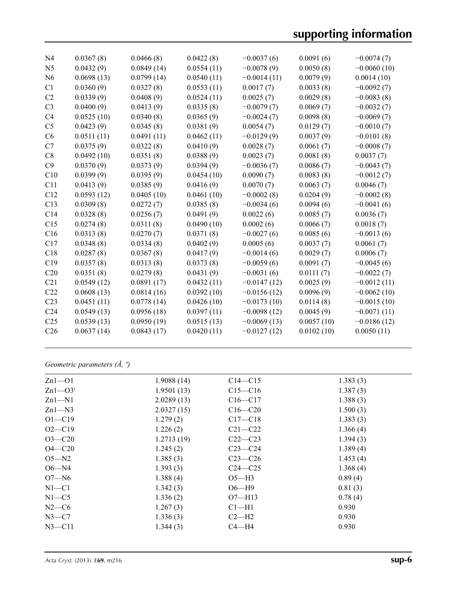| N <sub>4</sub>  | 0.0367(8)  | 0.0466(8)  | 0.0422(8)  | $-0.0037(6)$  | 0.0091(6)  | $-0.0074(7)$  |
|-----------------|------------|------------|------------|---------------|------------|---------------|
| N <sub>5</sub>  | 0.0432(9)  | 0.0849(14) | 0.0554(11) | $-0.0078(9)$  | 0.0050(8)  | $-0.0060(10)$ |
| N <sub>6</sub>  | 0.0698(13) | 0.0799(14) | 0.0540(11) | $-0.0014(11)$ | 0.0079(9)  | 0.0014(10)    |
| C1              | 0.0360(9)  | 0.0327(8)  | 0.0553(11) | 0.0017(7)     | 0.0033(8)  | $-0.0092(7)$  |
| C2              | 0.0339(9)  | 0.0408(9)  | 0.0524(11) | 0.0025(7)     | 0.0029(8)  | $-0.0083(8)$  |
| C <sub>3</sub>  | 0.0400(9)  | 0.0413(9)  | 0.0335(8)  | $-0.0079(7)$  | 0.0069(7)  | $-0.0032(7)$  |
| C4              | 0.0525(10) | 0.0340(8)  | 0.0365(9)  | $-0.0024(7)$  | 0.0098(8)  | $-0.0069(7)$  |
| C <sub>5</sub>  | 0.0423(9)  | 0.0345(8)  | 0.0381(9)  | 0.0054(7)     | 0.0129(7)  | $-0.0010(7)$  |
| C6              | 0.0511(11) | 0.0491(11) | 0.0462(11) | $-0.0129(9)$  | 0.0037(9)  | $-0.0101(8)$  |
| C7              | 0.0375(9)  | 0.0322(8)  | 0.0410(9)  | 0.0028(7)     | 0.0061(7)  | $-0.0008(7)$  |
| C8              | 0.0492(10) | 0.0351(8)  | 0.0388(9)  | 0.0023(7)     | 0.0081(8)  | 0.0037(7)     |
| C9              | 0.0370(9)  | 0.0373(9)  | 0.0394(9)  | $-0.0036(7)$  | 0.0086(7)  | $-0.0043(7)$  |
| C10             | 0.0399(9)  | 0.0395(9)  | 0.0454(10) | 0.0090(7)     | 0.0083(8)  | $-0.0012(7)$  |
| C11             | 0.0413(9)  | 0.0385(9)  | 0.0416(9)  | 0.0070(7)     | 0.0063(7)  | 0.0046(7)     |
| C12             | 0.0593(12) | 0.0405(10) | 0.0461(10) | $-0.0002(8)$  | 0.0204(9)  | $-0.0002(8)$  |
| C13             | 0.0309(8)  | 0.0272(7)  | 0.0385(8)  | $-0.0034(6)$  | 0.0094(6)  | $-0.0041(6)$  |
| C14             | 0.0328(8)  | 0.0256(7)  | 0.0491(9)  | 0.0022(6)     | 0.0085(7)  | 0.0036(7)     |
| C15             | 0.0274(8)  | 0.0311(8)  | 0.0490(10) | 0.0002(6)     | 0.0066(7)  | 0.0018(7)     |
| C16             | 0.0313(8)  | 0.0270(7)  | 0.0371(8)  | $-0.0027(6)$  | 0.0085(6)  | $-0.0013(6)$  |
| C17             | 0.0348(8)  | 0.0334(8)  | 0.0402(9)  | 0.0005(6)     | 0.0037(7)  | 0.0061(7)     |
| C18             | 0.0287(8)  | 0.0367(8)  | 0.0417(9)  | $-0.0014(6)$  | 0.0029(7)  | 0.0006(7)     |
| C19             | 0.0357(8)  | 0.0313(8)  | 0.0373(8)  | $-0.0059(6)$  | 0.0091(7)  | $-0.0045(6)$  |
| C20             | 0.0351(8)  | 0.0279(8)  | 0.0431(9)  | $-0.0031(6)$  | 0.0111(7)  | $-0.0022(7)$  |
| C <sub>21</sub> | 0.0549(12) | 0.0891(17) | 0.0432(11) | $-0.0147(12)$ | 0.0025(9)  | $-0.0012(11)$ |
| C22             | 0.0608(13) | 0.0814(16) | 0.0392(10) | $-0.0156(12)$ | 0.0096(9)  | $-0.0062(10)$ |
| C <sub>23</sub> | 0.0451(11) | 0.0778(14) | 0.0426(10) | $-0.0173(10)$ | 0.0114(8)  | $-0.0015(10)$ |
| C <sub>24</sub> | 0.0549(13) | 0.0956(18) | 0.0397(11) | $-0.0098(12)$ | 0.0045(9)  | $-0.0071(11)$ |
| C <sub>25</sub> | 0.0539(13) | 0.0950(19) | 0.0515(13) | $-0.0069(13)$ | 0.0057(10) | $-0.0186(12)$ |
| C <sub>26</sub> | 0.0637(14) | 0.0843(17) | 0.0420(11) | $-0.0127(12)$ | 0.0102(10) | 0.0050(11)    |
|                 |            |            |            |               |            |               |

*Geometric parameters (Å, º)*

| $Zn1-01$   | 1.9088(14) | $C14 - C15$ | 1.383(3) |
|------------|------------|-------------|----------|
| $Zn1-03i$  | 1.9501(13) | $C15 - C16$ | 1.387(3) |
| $Zn1-M1$   | 2.0289(13) | $C16 - C17$ | 1.388(3) |
| $Zn1-M3$   | 2.0327(15) | $C16 - C20$ | 1.500(3) |
| $O1 - C19$ | 1.279(2)   | $C17 - C18$ | 1.383(3) |
| $O2 - C19$ | 1.226(2)   | $C21 - C22$ | 1.366(4) |
| $O3 - C20$ | 1.2713(19) | $C22-C23$   | 1.394(3) |
| $O4 - C20$ | 1.245(2)   | $C23-C24$   | 1.389(4) |
| $O5 - N2$  | 1.385(3)   | $C23-C26$   | 1.453(4) |
| $O6 - N4$  | 1.393(3)   | $C24 - C25$ | 1.368(4) |
| $O7 - N6$  | 1.388(4)   | $O5-H3$     | 0.89(4)  |
| $N1 - C1$  | 1.342(3)   | $O6 - H9$   | 0.81(3)  |
| $N1 - C5$  | 1.336(2)   | $O7 - H13$  | 0.78(4)  |
| $N2-C6$    | 1.267(3)   | $Cl-H1$     | 0.930    |
| $N3-C7$    | 1.336(3)   | $C2-H2$     | 0.930    |
| $N3$ —C11  | 1.344(3)   | $C4 - H4$   | 0.930    |
|            |            |             |          |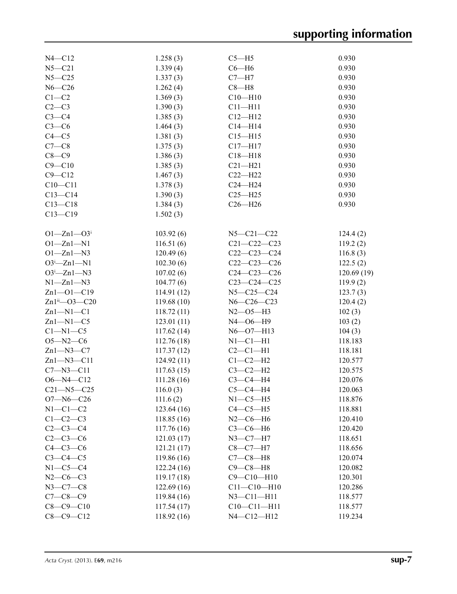| $N4 - C12$                | 1.258(3)    | $C5 - H5$          | 0.930              |
|---------------------------|-------------|--------------------|--------------------|
| $N5 - C21$                | 1.339(4)    | $C6 - H6$          | 0.930              |
| $N5 - C25$                | 1.337(3)    | $C7 - H7$          | 0.930              |
| $N6 - C26$                | 1.262(4)    | $C8 - H8$          | 0.930              |
| $C1 - C2$                 | 1.369(3)    | $C10 - H10$        | 0.930              |
| $C2-C3$                   | 1.390(3)    | $C11 - H11$        | 0.930              |
| $C3-C4$                   | 1.385(3)    | $C12 - H12$        | 0.930              |
| $C3-C6$                   | 1.464(3)    | $C14 - H14$        | 0.930              |
| $C4 - C5$                 | 1.381(3)    | $C15 - H15$        | 0.930              |
| $C7-C8$                   | 1.375(3)    | $C17 - H17$        | 0.930              |
| $C8-C9$                   | 1.386(3)    | $C18 - H18$        | 0.930              |
| $C9 - C10$                | 1.385(3)    | $C21 - H21$        | 0.930              |
| $C9 - C12$                |             | $C22-H22$          | 0.930              |
| $C10 - C11$               | 1.467(3)    |                    | 0.930              |
|                           | 1.378(3)    | $C24 - H24$        |                    |
| $C13 - C14$               | 1.390(3)    | $C25 - H25$        | 0.930              |
| $C13 - C18$               | 1.384(3)    | $C26 - H26$        | 0.930              |
| $C13 - C19$               | 1.502(3)    |                    |                    |
| $O1 - Zn1 - O3$           | 103.92(6)   | $N5 - C21 - C22$   | 124.4(2)           |
| $O1 - Zn1 - N1$           | 116.51(6)   | $C21 - C22 - C23$  | 119.2(2)           |
| $O1 - Zn1 - N3$           | 120.49(6)   | $C22-C23-C24$      | 116.8(3)           |
| $O3^i$ -Zn1-N1            | 102.30(6)   | $C22-C23-C26$      | 122.5(2)           |
| $O3^i$ -Zn1-N3            | 107.02(6)   | $C24 - C23 - C26$  | 120.69(19)         |
| $N1 - Zn1 - N3$           | 104.77(6)   | $C23-C24-C25$      | 119.9(2)           |
| $Zn1 - 01 - C19$          | 114.91(12)  | $N5 - C25 - C24$   | 123.7(3)           |
| $Zn1^{ii}$ - $O3$ - $C20$ | 119.68(10)  | $N6 - C26 - C23$   | 120.4(2)           |
| $Zn1 - N1 - C1$           | 118.72(11)  | $N2 - 05 - H3$     | 102(3)             |
| $Zn1-M1-C5$               | 123.01(11)  | $N4 - 06 - H9$     | 103(2)             |
| $C1-M1-C5$                | 117.62(14)  | $N6 - O7 - H13$    | 104(3)             |
| $O5 - N2 - C6$            | 112.76(18)  | $N1-C1-H1$         | 118.183            |
| $Zn1 - N3 - C7$           | 117.37(12)  | $C2-C1-H1$         | 118.181            |
| $Zn1 - N3 - C11$          | 124.92(11)  | $C1-C2-H2$         | 120.577            |
| $C7 - N3 - C11$           | 117.63(15)  | $C3-C2-H2$         | 120.575            |
| $O6 - N4 - C12$           | 111.28(16)  | $C3-C4-H4$         | 120.076            |
| $C21 - N5 - C25$          | 116.0(3)    | $C5-C4-H4$         | 120.063            |
| $O7 - N6 - C26$           | 111.6(2)    | $N1-C5-H5$         | 118.876            |
| $N1-C1-C2$                | 123.64(16)  | $C4-C5-H5$         | 118.881            |
| $C1-C2-C3$                | 118.85(16)  |                    |                    |
|                           |             | $N2$ – $C6$ – $H6$ | 120.410<br>120.420 |
| $C2-C3-C4$                | 117.76(16)  | $C3-C6-H6$         |                    |
| $C2-C3-C6$                | 121.03(17)  | $N3 - C7 - H7$     | 118.651            |
| $C4-C3-C6$                | 121.21(17)  | $C8-C7-H7$         | 118.656            |
| $C3-C4-C5$                | 119.86(16)  | $C7-C8-H8$         | 120.074            |
| $N1-C5-C4$                | 122.24(16)  | $C9-C8-H8$         | 120.082            |
| $N2-C6-C3$                | 119.17(18)  | $C9 - C10 - H10$   | 120.301            |
| $N3-C7-C8$                | 122.69(16)  | $C11 - C10 - H10$  | 120.286            |
| $C7 - C8 - C9$            | 119.84 (16) | $N3 - C11 - H11$   | 118.577            |
| $C8 - C9 - C10$           | 117.54(17)  | $C10-C11-H11$      | 118.577            |
| $C8 - C9 - C12$           | 118.92(16)  | N4-C12-H12         | 119.234            |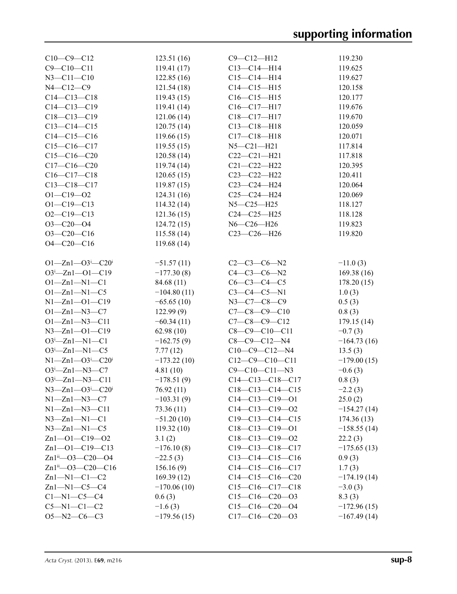| $C10-C9-C12$                                   | 123.51(16)    | $C9 - C12 - H12$      | 119.230       |
|------------------------------------------------|---------------|-----------------------|---------------|
| $C9 - C10 - C11$                               | 119.41(17)    | $C13 - C14 - H14$     | 119.625       |
| $N3 - C11 - C10$                               | 122.85(16)    | $C15 - C14 - H14$     | 119.627       |
| $N4 - C12 - C9$                                | 121.54(18)    | $C14 - C15 - H15$     | 120.158       |
| $C14 - C13 - C18$                              | 119.43(15)    | $C16 - C15 - H15$     | 120.177       |
| $C14 - C13 - C19$                              | 119.41(14)    | C16-C17-H17           | 119.676       |
| $C18 - C13 - C19$                              | 121.06(14)    | C18-C17-H17           | 119.670       |
| $C13 - C14 - C15$                              | 120.75(14)    | $C13 - C18 - H18$     | 120.059       |
| $C14 - C15 - C16$                              | 119.66(15)    | $C17 - C18 - H18$     | 120.071       |
| $C15-C16-C17$                                  | 119.55(15)    | $N5 - C21 - H21$      | 117.814       |
| $C15-C16-C20$                                  | 120.58 (14)   | $C22-C21-H21$         | 117.818       |
| $C17 - C16 - C20$                              | 119.74(14)    | $C21 - C22 - H22$     | 120.395       |
| $C16-C17-C18$                                  | 120.65(15)    | C23-C22-H22           | 120.411       |
| $C13 - C18 - C17$                              | 119.87(15)    | C23-C24-H24           | 120.064       |
| $O1 - C19 - O2$                                | 124.31(16)    | $C25-C24-H24$         | 120.069       |
| $O1 - C19 - C13$                               | 114.32(14)    | $N5 - C25 - H25$      | 118.127       |
| $O2 - C19 - C13$                               | 121.36(15)    | $C24 - C25 - H25$     | 118.128       |
| $O3 - C20 - O4$                                | 124.72(15)    | N6-C26-H26            | 119.823       |
| $O3 - C20 - C16$                               | 115.58(14)    | C23-C26-H26           | 119.820       |
| $O4 - C20 - C16$                               | 119.68(14)    |                       |               |
|                                                |               |                       |               |
| $O1 - Zn1 - O3$ <sup>i</sup> -C20 <sup>i</sup> | $-51.57(11)$  | $C2-C3-C6-N2$         | $-11.0(3)$    |
| $O3^{i}$ -Zn1- $O1$ -C19                       | $-177.30(8)$  | $C4 - C3 - C6 - N2$   | 169.38(16)    |
| $O1 - Zn1 - N1 - C1$                           | 84.68 (11)    | $C6 - C3 - C4 - C5$   | 178.20(15)    |
| $O1 - Zn1 - N1 - C5$                           | $-104.80(11)$ | $C3 - C4 - C5 - N1$   | 1.0(3)        |
| $N1 - Zn1 - O1 - C19$                          | $-65.65(10)$  | N3-C7-C8-C9           | 0.5(3)        |
| $O1 - Zn1 - N3 - C7$                           | 122.99(9)     | $C7-C8-C9-C10$        | 0.8(3)        |
| $O1 - Zn1 - N3 - C11$                          | $-60.34(11)$  | $C7 - C8 - C9 - C12$  | 179.15(14)    |
| $N3 - Zn1 - 01 - C19$                          | 62.98(10)     | $C8 - C9 - C10 - C11$ | $-0.7(3)$     |
| $O3^i$ -Zn1-N1-C1                              | $-162.75(9)$  | $C8-C9-C12-N4$        | $-164.73(16)$ |
| $O3^i$ -Zn1-N1-C5                              | 7.77(12)      | $C10-C9-C12-N4$       | 13.5(3)       |
| $N1 - Zn1 - O3 - C20$                          | $-173.22(10)$ | $C12-C9-C10-C11$      | $-179.00(15)$ |
| $O3^i$ -Zn1-N3-C7                              | 4.81(10)      | $C9 - C10 - C11 - N3$ | $-0.6(3)$     |
| $O3^i$ -Zn1-N3-C11                             | $-178.51(9)$  | $C14-C13-C18-C17$     | 0.8(3)        |
| $N3 - Zn1 - O3$ <sup>i</sup> -C20 <sup>i</sup> | 76.92(11)     | $C18-C13-C14-C15$     | $-2.2(3)$     |
| $N1 - Zn1 - N3 - C7$                           | $-103.31(9)$  | $C14-C13-C19-O1$      | 25.0(2)       |
| $N1 - Zn1 - N3 - C11$                          | 73.36(11)     | $C14-C13-C19-O2$      | $-154.27(14)$ |
| $N3 - Zn1 - N1 - C1$                           | $-51.20(10)$  | $C19-C13-C14-C15$     | 174.36(13)    |
| $N3 - Zn1 - N1 - C5$                           | 119.32(10)    | $C18-C13-C19-O1$      | $-158.55(14)$ |
| $Zn1 - 01 - C19 - 02$                          | 3.1(2)        | $C18-C13-C19-O2$      | 22.2(3)       |
| $Zn1 - 01 - C19 - C13$                         | $-176.10(8)$  | $C19-C13-C18-C17$     | $-175.65(13)$ |
| Zn1ii-03-C20-04                                | $-22.5(3)$    | $C13-C14-C15-C16$     | 0.9(3)        |
| $Zn1^{ii}$ - $O3$ - $C20$ - $C16$              | 156.16(9)     | $C14-C15-C16-C17$     | 1.7(3)        |
| $Zn1-M1-C1-C2$                                 | 169.39(12)    | $C14-C15-C16-C20$     | $-174.19(14)$ |
| $Zn1-M1-C5-C4$                                 | $-170.06(10)$ | $C15-C16-C17-C18$     | $-3.0(3)$     |
| $Cl-M1-C5-C4$                                  | 0.6(3)        | $C15-C16-C20-03$      | 8.3(3)        |
| $C5-M1-C1-C2$                                  | $-1.6(3)$     | $C15-C16-C20-04$      | $-172.96(15)$ |
| $O5 - N2 - C6 - C3$                            | $-179.56(15)$ | $C17-C16-C20-03$      | $-167.49(14)$ |